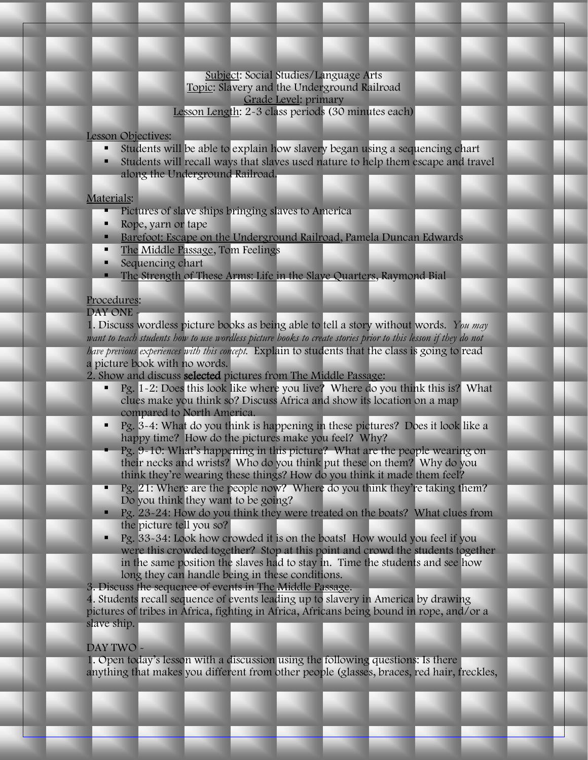### Subject: Social Studies/Language Arts Topic: Slavery and the Underground Railroad Grade Level: primary Lesson Length: 2-3 class periods (30 minutes each)

Lesson Objectives:

- **Students will be able to explain how slavery began using a sequencing chart**
- Students will recall ways that slaves used nature to help them escape and travel along the Underground Railroad.

## Materials:

- Pictures of slave ships bringing slaves to America
- Rope, yarn or tape
- Barefoot: Escape on the Underground Railroad, Pamela Duncan Edwards
- The Middle Passage, Tom Feelings
- Sequencing chart
- The Strength of These Arms: Life in the Slave Quarters, Raymond Bial

# Procedures:

## DAY ONE -

1. Discuss wordless picture books as being able to tell a story without words. *You may*  want to teach students how to use wordless picture books to create stories prior to this lesson if they do not *have previous experiences with this concept.* Explain to students that the class is going to read a picture book with no words.

- 2. Show and discuss selected pictures from The Middle Passage:
	- **Pg.** 1-2: Does this look like where you live? Where do you think this is? What clues make you think so? Discuss Africa and show its location on a map compared to North America.
	- **Pg.** 3-4: What do you think is happening in these pictures? Does it look like a happy time? How do the pictures make you feel? Why?
	- Pg. 9-10: What's happening in this picture? What are the people wearing on their necks and wrists? Who do you think put these on them? Why do you think they're wearing these things? How do you think it made them feel?
	- **Pg.** 21: Where are the people now? Where do you think they're taking them? Do you think they want to be going?
	- **Pg.** 23-24: How do you think they were treated on the boats? What clues from the picture tell you so?
	- $\blacksquare$  Pg. 33-34: Look how crowded it is on the boats! How would you feel if you were this crowded together? Stop at this point and crowd the students together in the same position the slaves had to stay in. Time the students and see how long they can handle being in these conditions.
- 3. Discuss the sequence of events in The Middle Passage.

4. Students recall sequence of events leading up to slavery in America by drawing pictures of tribes in Africa, fighting in Africa, Africans being bound in rope, and/or a slave ship.

## DAY TWO -

1. Open today's lesson with a discussion using the following questions: Is there anything that makes you different from other people (glasses, braces, red hair, freckles,